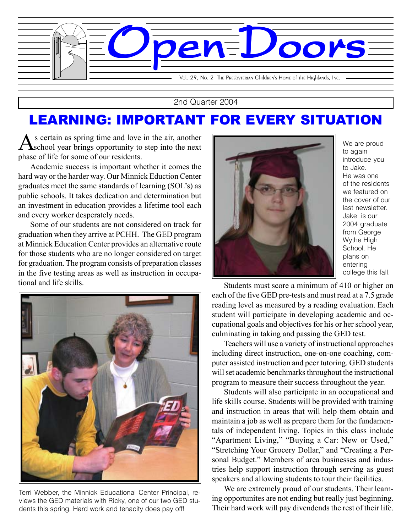

2nd Quarter 2004

## LEARNING: IMPORTANT FOR EVERY SITUATION

As certain as spring time and love in the air, another school year brings opportunity to step into the next phase of life for some of our residents.

Academic success is important whether it comes the hard way or the harder way. Our Minnick Eduction Center graduates meet the same standards of learning (SOL's) as public schools. It takes dedication and determination but an investment in education provides a lifetime tool each and every worker desperately needs.

Some of our students are not considered on track for graduation when they arrive at PCHH. The GED program at Minnick Education Center provides an alternative route for those students who are no longer considered on target for graduation. The program consists of preparation classes in the five testing areas as well as instruction in occupational and life skills. Students must score a minimum of 410 or higher on



Terri Webber, the Minnick Educational Center Principal, reviews the GED materials with Ricky, one of our two GED students this spring. Hard work and tenacity does pay off!



We are proud to again introduce you to Jake. He was one of the residents we featured on the cover of our last newsletter. Jake is our 2004 graduate from George Wythe High School. He plans on entering college this fall.

each of the five GED pre-tests and must read at a 7.5 grade reading level as measured by a reading evaluation. Each student will participate in developing academic and occupational goals and objectives for his or her school year, culminating in taking and passing the GED test.

Teachers will use a variety of instructional approaches including direct instruction, one-on-one coaching, computer assisted instruction and peer tutoring. GED students will set academic benchmarks throughout the instructional program to measure their success throughout the year.

life skills course. Students will be provided with training<br>and instruction in areas that will help them obtain and Students will also participate in an occupational and life skills course. Students will be provided with training maintain a job as well as prepare them for the fundamentals of independent living. Topics in this class include "Apartment Living," "Buying a Car: New or Used," "Stretching Your Grocery Dollar," and "Creating a Personal Budget." Members of area businesses and industries help support instruction through serving as guest speakers and allowing students to tour their facilities.

We are extremely proud of our students. Their learning opportunites are not ending but really just beginning. Their hard work will pay divendends the rest of their life.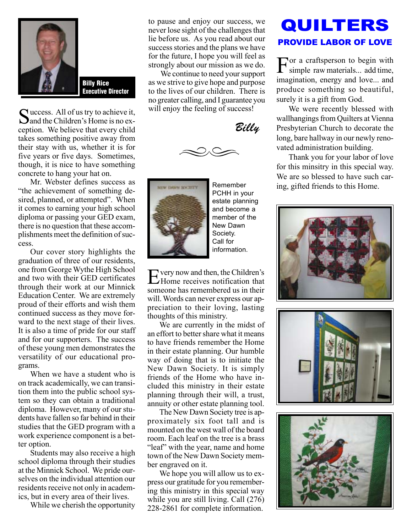

Billy Rice Executive Director

Success. All of us try to achieve it,<br>Sand the Children's Home is no exception. We believe that every child takes something positive away from their stay with us, whether it is for five years or five days. Sometimes, though, it is nice to have something concrete to hang your hat on.

Mr. Webster defines success as "the achievement of something desired, planned, or attempted". When it comes to earning your high school diploma or passing your GED exam, there is no question that these accomplishments meet the definition of success.

Our cover story highlights the graduation of three of our residents, one from George Wythe High School and two with their GED certificates through their work at our Minnick Education Center. We are extremely proud of their efforts and wish them continued success as they move forward to the next stage of their lives. It is also a time of pride for our staff and for our supporters. The success of these young men demonstrates the versatility of our educational programs.

When we have a student who is on track academically, we can transition them into the public school system so they can obtain a traditional diploma. However, many of our students have fallen so far behind in their studies that the GED program with a work experience component is a better option.

Students may also receive a high school diploma through their studies at the Minnick School. We pride ourselves on the individual attention our residents receive not only in academics, but in every area of their lives.

While we cherish the opportunity

to pause and enjoy our success, we never lose sight of the challenges that lie before us. As you read about our success stories and the plans we have for the future, I hope you will feel as strongly about our mission as we do.

We continue to need your support as we strive to give hope and purpose to the lives of our children. There is no greater calling, and I guarantee you will enjoy the feeling of success!

Billy





Remember PCHH in your estate planning and become a member of the New Dawn Society. Call for information.

very now and then, the Children's Home receives notification that someone has remembered us in their will. Words can never express our appreciation to their loving, lasting thoughts of this ministry.

We are currently in the midst of an effort to better share what it means to have friends remember the Home in their estate planning. Our humble way of doing that is to initiate the New Dawn Society. It is simply friends of the Home who have included this ministry in their estate planning through their will, a trust, annuity or other estate planning tool.

The New Dawn Society tree is approximately six foot tall and is mounted on the west wall of the board room. Each leaf on the tree is a brass "leaf" with the year, name and home town of the New Dawn Society member engraved on it.

We hope you will allow us to express our gratitude for you remembering this ministry in this special way while you are still living. Call (276) 228-2861 for complete information.

## QUILTERS PROVIDE LABOR OF LOVE

For a craftsperson to begin with simple raw materials... add time, imagination, energy and love... and produce something so beautiful, surely it is a gift from God.

We were recently blessed with wallhangings from Quilters at Vienna Presbyterian Church to decorate the long, bare hallway in our newly renovated administration building.

Thank you for your labor of love for this minsitry in this special way. We are so blessed to have such caring, gifted friends to this Home.





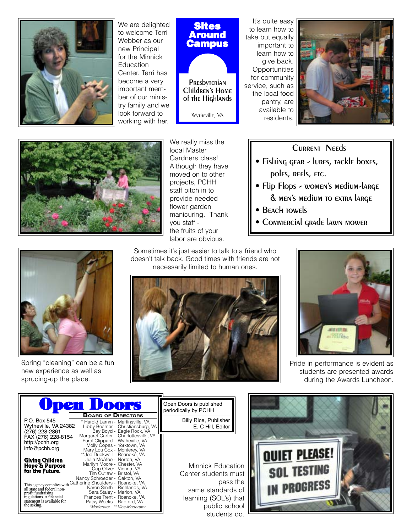

We are delighted to welcome Terri Webber as our new Principal for the Minnick **Education** Center. Terri has become a very important member of our ministry family and we look forward to working with her.



**PRES**byterian Children's Home of the Highlands

Wytheville, VA

It's quite easy to learn how to take but equally important to learn how to give back. **Opportunities** for community service, such as the local food pantry, are available to residents.





We really miss the local Master Gardners class! Although they have moved on to other projects, PCHH staff pitch in to provide needed flower garden manicuring. Thank you staff the fruits of your labor are obvious.

## Current Needs

- Fishing gear lures, tackle boxes, poles, REEls, ETC.
- Flip Flops women's medium-large & men's medium to extra large
- BEACH TOWELS
- Commercial grade lawn mower



Spring "cleaning" can be a fun new experience as well as sprucing-up the place.

Sometimes it's just easier to talk to a friend who doesn't talk back. Good times with friends are not necessarily limited to human ones.





Pride in performance is evident as students are presented awards during the Awards Luncheon.

|                                                                                                                                                        | <b>Upen Doors</b><br><b>BOARD OF DIRECTORS</b>                                                                                                                                           | Open Doors is published<br>periodically by PCHH      |
|--------------------------------------------------------------------------------------------------------------------------------------------------------|------------------------------------------------------------------------------------------------------------------------------------------------------------------------------------------|------------------------------------------------------|
| P.O. Box 545<br>Wytheville, VA 24382<br>(276) 228-2861                                                                                                 | * Harold Lamm - Martinsville, VA<br>Libby Beamer - Christiansburg, VA<br>Bay Boyd - Eagle Rock, VA                                                                                       | Billy Rice, Publisher<br>E. C Hill, Editor           |
| FAX (276) 228-8154<br>http://pchh.org<br>info@pchh.org                                                                                                 | Margaret Carter - Charlottesville, VA<br>Eural Clippard - Wytheville, VA<br>Molly Copes - Yorktown, VA<br>Mary Lou Cox - Monterey, VA<br>**Joe Duckwall - Roanoke, VA                    |                                                      |
| Giving Children<br>Hope & Parpose<br>for the Fatare.                                                                                                   | Julia McAfee - Norton, VA<br>Marilyn Moore - Chester, VA<br>Cap Oliver- Vienna, VA<br>Tim Outlaw - Bristol, VA<br>Nancy Schroeder - Oakton, VA                                           | Minnick Educ<br>Center students                      |
| This agency complies with<br>all state and federal non-<br>profit fundraising<br>regulations. A financial<br>statement is available for<br>the asking. | Catherine Shoulders - Roanoke, VA<br>Karen Smith - Richlands, VA<br>Sara Staley - Marion, VA<br>Frances Trent - Roanoke, VA<br>Patsy Weeks - Radford, VA<br>*Moderator ** Vice-Moderator | pas<br>same standar<br>learning (SOL's)<br>public so |